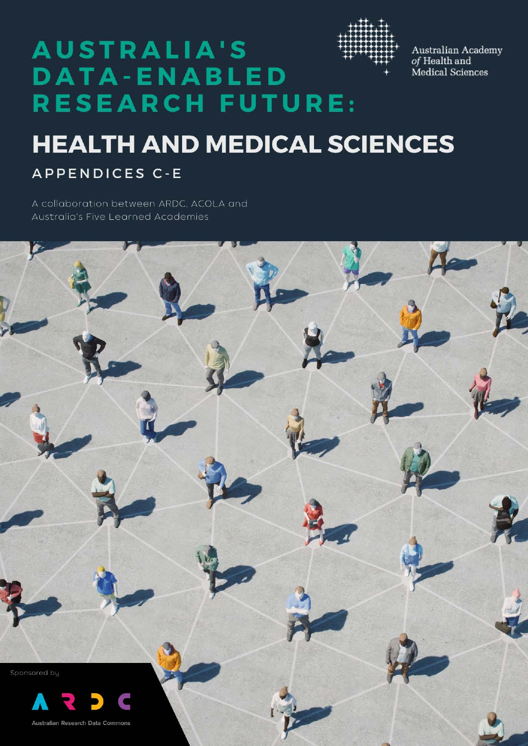

 $\begin{array}{c} \textrm{Australia Rademy} \\ \textrm{of Health and} \end{array}$ Medical Sciences

# **AUSTRALIA'S DATA-ENABLED RESEARCH FUTURE:**

# **HEALTH AND MEDICAL SCIENCES**

**APPENDICES C-E** 

A collaboration between ARDC, ACOLA and **Australia's Five Learned Academies** 

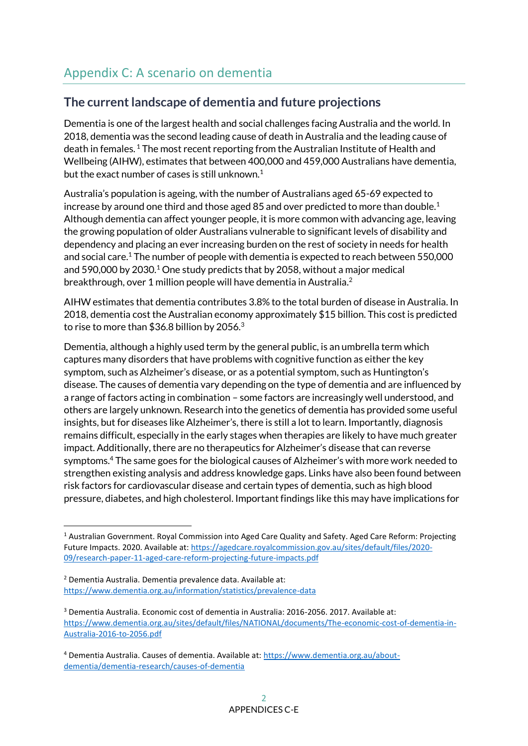# **The current landscape of dementia and future projections**

Dementia is one of the largest health and social challenges facing Australia and the world. In 2018, dementia was the second leading cause of death in Australia and the leading cause of death in females.  $1$  The most recent reporting from the Australian Institute of Health and Wellbeing (AIHW), estimates that between 400,000 and 459,000 Australians have dementia, but the exact number of cases is still unknown.<sup>[1](#page-1-0)</sup>

<span id="page-1-0"></span>Australia's population is ageing, with the number of Australians aged 65-69 expected to increase by around one third and those aged 85 and over predicted to more than double.<sup>1</sup> Although dementia can affect younger people, it is more common with advancing age, leaving the growing population of older Australians vulnerable to significant levels of disability and dependency and placing an ever increasing burden on the rest of society in needs for health and social car[e.](#page-1-0)<sup>1</sup> The number of people with dementia is expected to reach between 550,000 and 590,000 by 2030.<sup>[1](#page-1-0)</sup> One study predicts that by 2058, without a major medical breakthrough, over 1 million people will have dementia in Australia.<sup>2</sup>

AIHW estimates that dementia contributes 3.8% to the total burden of disease in Australia. In 2018, dementia cost the Australian economy approximately \$15 billion. This cost is predicted to rise to more than \$36.8 billion by 2056.<sup>3</sup>

<span id="page-1-1"></span>Dementia, although a highly used term by the general public, is an umbrella term which captures many disorders that have problems with cognitive function as either the key symptom, such as Alzheimer's disease, or as a potential symptom, such as Huntington's disease. The causes of dementia vary depending on the type of dementia and are influenced by a range of factors acting in combination – some factors are increasingly well understood, and others are largely unknown. Research into the genetics of dementia has provided some useful insights, but for diseases like Alzheimer's, there is still a lot to learn. Importantly, diagnosis remains difficult, especially in the early stages when therapies are likely to have much greater impact. Additionally, there are no therapeutics for Alzheimer's disease that can reverse symptoms.<sup>4</sup> The same goes for the biological causes of Alzheimer's with more work needed to strengthen existing analysis and address knowledge gaps. Links have also been found between risk factors for cardiovascular disease and certain types of dementia, such as high blood pressure, diabetes, and high cholesterol. Important findings like this may have implications for

<sup>1</sup> Australian Government. Royal Commission into Aged Care Quality and Safety. Aged Care Reform: Projecting Future Impacts. 2020. Available at[: https://agedcare.royalcommission.gov.au/sites/default/files/2020-](https://agedcare.royalcommission.gov.au/sites/default/files/2020-09/research-paper-11-aged-care-reform-projecting-future-impacts.pdf) [09/research-paper-11-aged-care-reform-projecting-future-impacts.pdf](https://agedcare.royalcommission.gov.au/sites/default/files/2020-09/research-paper-11-aged-care-reform-projecting-future-impacts.pdf)

<sup>2</sup> Dementia Australia. Dementia prevalence data. Available at: <https://www.dementia.org.au/information/statistics/prevalence-data>

<sup>3</sup> Dementia Australia. Economic cost of dementia in Australia: 2016-2056. 2017. Available at: [https://www.dementia.org.au/sites/default/files/NATIONAL/documents/The-economic-cost-of-dementia-in-](https://www.dementia.org.au/sites/default/files/NATIONAL/documents/The-economic-cost-of-dementia-in-Australia-2016-to-2056.pdf)[Australia-2016-to-2056.pdf](https://www.dementia.org.au/sites/default/files/NATIONAL/documents/The-economic-cost-of-dementia-in-Australia-2016-to-2056.pdf)

<sup>4</sup> Dementia Australia. Causes of dementia. Available at: [https://www.dementia.org.au/about](https://www.dementia.org.au/about-dementia/dementia-research/causes-of-dementia)[dementia/dementia-research/causes-of-dementia](https://www.dementia.org.au/about-dementia/dementia-research/causes-of-dementia)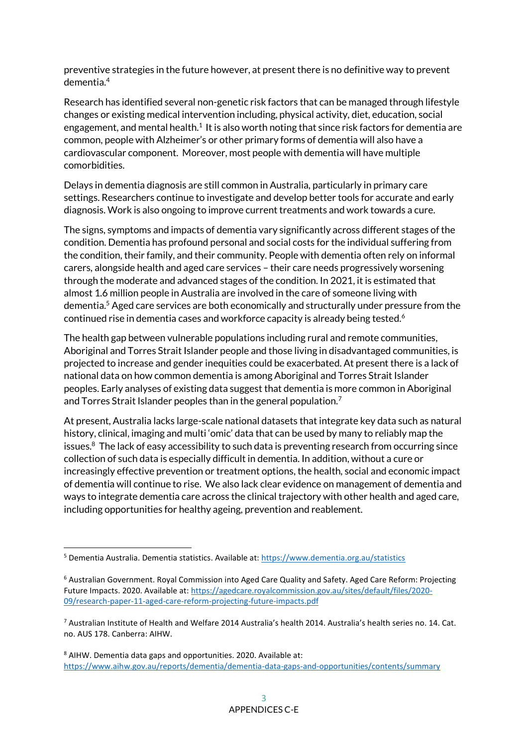preventive strategies in the future however, at present there is no definitive way to prevent dementi[a.](#page-1-1)<sup>4</sup>

Research has identified several non-genetic risk factors that can be managed through lifestyle changes or existing medical intervention including, physical activity, diet, education, social engagement, and mental health.<sup>[1](#page-1-0)</sup> It is also worth noting that since risk factors for dementia are common, people with Alzheimer's or other primary forms of dementia will also have a cardiovascular component. Moreover, most people with dementia will have multiple comorbidities.

Delays in dementia diagnosis are still common in Australia, particularly in primary care settings. Researchers continue to investigate and develop better tools for accurate and early diagnosis. Work is also ongoing to improve current treatments and work towards a cure.

The signs, symptoms and impacts of dementia vary significantly across different stages of the condition. Dementia has profound personal and social costs for the individual suffering from the condition, their family, and their community. People with dementia often rely on informal carers, alongside health and aged care services – their care needs progressively worsening through the moderate and advanced stages of the condition. In 2021, it is estimated that almost 1.6 million people in Australia are involved in the care of someone living with dementia.<sup>5</sup> Aged care services are both economically and structurally under pressure from the continued rise in dementia cases and workforce capacity is already being tested.<sup>6</sup>

The health gap between vulnerable populations including rural and remote communities, Aboriginal and Torres Strait Islander people and those living in disadvantaged communities, is projected to increase and gender inequities could be exacerbated. At present there is a lack of national data on how common dementia is among Aboriginal and Torres Strait Islander peoples. Early analyses of existing data suggest that dementia is more common in Aboriginal and Torres Strait Islander peoples than in the general population.<sup>7</sup>

At present, Australia lacks large-scale national datasets that integrate key data such as natural history, clinical, imaging and multi 'omic' data that can be used by many to reliably map the issues.<sup>8</sup> The lack of easy accessibility to such data is preventing research from occurring since collection of such data is especially difficult in dementia. In addition, without a cure or increasingly effective prevention or treatment options, the health, social and economic impact of dementia will continue to rise. We also lack clear evidence on management of dementia and ways to integrate dementia care across the clinical trajectory with other health and aged care, including opportunities for healthy ageing, prevention and reablement.

<sup>5</sup> Dementia Australia. Dementia statistics. Available at:<https://www.dementia.org.au/statistics>

<sup>6</sup> Australian Government. Royal Commission into Aged Care Quality and Safety. Aged Care Reform: Projecting Future Impacts. 2020. Available at[: https://agedcare.royalcommission.gov.au/sites/default/files/2020-](https://agedcare.royalcommission.gov.au/sites/default/files/2020-09/research-paper-11-aged-care-reform-projecting-future-impacts.pdf) [09/research-paper-11-aged-care-reform-projecting-future-impacts.pdf](https://agedcare.royalcommission.gov.au/sites/default/files/2020-09/research-paper-11-aged-care-reform-projecting-future-impacts.pdf)

<sup>7</sup> Australian Institute of Health and Welfare 2014 Australia's health 2014. Australia's health series no. 14. Cat. no. AUS 178. Canberra: AIHW.

<sup>8</sup> AIHW. Dementia data gaps and opportunities. 2020. Available at: <https://www.aihw.gov.au/reports/dementia/dementia-data-gaps-and-opportunities/contents/summary>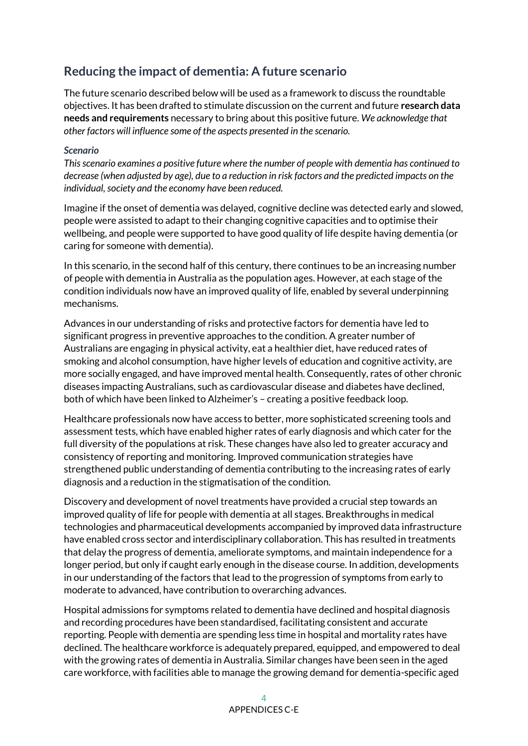# **Reducing the impact of dementia: A future scenario**

The future scenario described below will be used as a framework to discuss the roundtable objectives. It has been drafted to stimulate discussion on the current and future **research data needs and requirements** necessary to bring about this positive future. *We acknowledge that other factors will influence some of the aspects presented in the scenario.*

#### *Scenario*

*This scenario examines a positive future where the number of people with dementia has continued to decrease (when adjusted by age), due to a reduction in risk factors and the predicted impacts on the individual, society and the economy have been reduced.*

Imagine if the onset of dementia was delayed, cognitive decline was detected early and slowed, people were assisted to adapt to their changing cognitive capacities and to optimise their wellbeing, and people were supported to have good quality of life despite having dementia (or caring for someone with dementia).

In this scenario, in the second half of this century, there continues to be an increasing number of people with dementia in Australia as the population ages. However, at each stage of the condition individuals now have an improved quality of life, enabled by several underpinning mechanisms.

Advances in our understanding of risks and protective factors for dementia have led to significant progress in preventive approaches to the condition. A greater number of Australians are engaging in physical activity, eat a healthier diet, have reduced rates of smoking and alcohol consumption, have higher levels of education and cognitive activity, are more socially engaged, and have improved mental health. Consequently, rates of other chronic diseases impacting Australians, such as cardiovascular disease and diabetes have declined, both of which have been linked to Alzheimer's – creating a positive feedback loop.

Healthcare professionals now have access to better, more sophisticated screening tools and assessment tests, which have enabled higher rates of early diagnosis and which cater for the full diversity of the populations at risk. These changes have also led to greater accuracy and consistency of reporting and monitoring. Improved communication strategies have strengthened public understanding of dementia contributing to the increasing rates of early diagnosis and a reduction in the stigmatisation of the condition.

Discovery and development of novel treatments have provided a crucial step towards an improved quality of life for people with dementia at all stages. Breakthroughs in medical technologies and pharmaceutical developments accompanied by improved data infrastructure have enabled cross sector and interdisciplinary collaboration. This has resulted in treatments that delay the progress of dementia, ameliorate symptoms, and maintain independence for a longer period, but only if caught early enough in the disease course. In addition, developments in our understanding of the factors that lead to the progression of symptoms from early to moderate to advanced, have contribution to overarching advances.

Hospital admissions for symptoms related to dementia have declined and hospital diagnosis and recording procedures have been standardised, facilitating consistent and accurate reporting. People with dementia are spending less time in hospital and mortality rates have declined. The healthcare workforce is adequately prepared, equipped, and empowered to deal with the growing rates of dementia in Australia. Similar changes have been seen in the aged care workforce, with facilities able to manage the growing demand for dementia-specific aged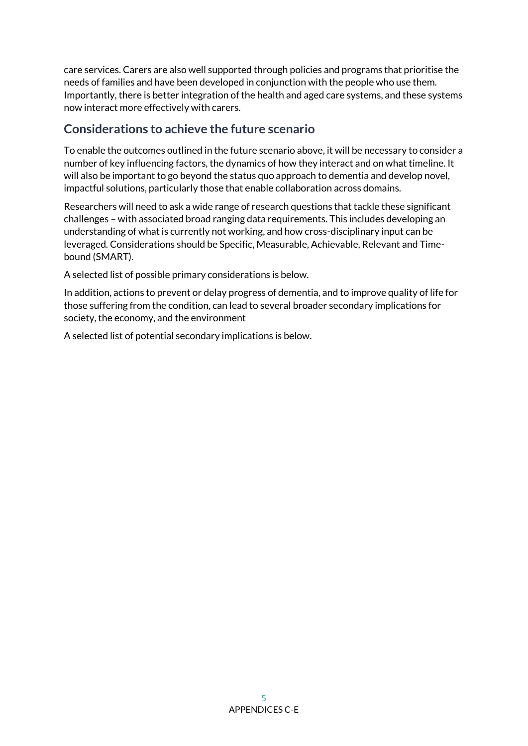care services. Carers are also well supported through policies and programs that prioritise the needs of families and have been developed in conjunction with the people who use them. Importantly, there is better integration of the health and aged care systems, and these systems now interact more effectively with carers.

# **Considerations to achieve the future scenario**

To enable the outcomes outlined in the future scenario above, it will be necessary to consider a number of key influencing factors, the dynamics of how they interact and on what timeline. It will also be important to go beyond the status quo approach to dementia and develop novel, impactful solutions, particularly those that enable collaboration across domains.

Researchers will need to ask a wide range of research questions that tackle these significant challenges – with associated broad ranging data requirements. This includes developing an understanding of what is currently not working, and how cross-disciplinary input can be leveraged. Considerations should be Specific, Measurable, Achievable, Relevant and Timebound (SMART).

A selected list of possible primary considerations is below.

In addition, actions to prevent or delay progress of dementia, and to improve quality of life for those suffering from the condition, can lead to several broader secondary implications for society, the economy, and the environment

A selected list of potential secondary implications is below.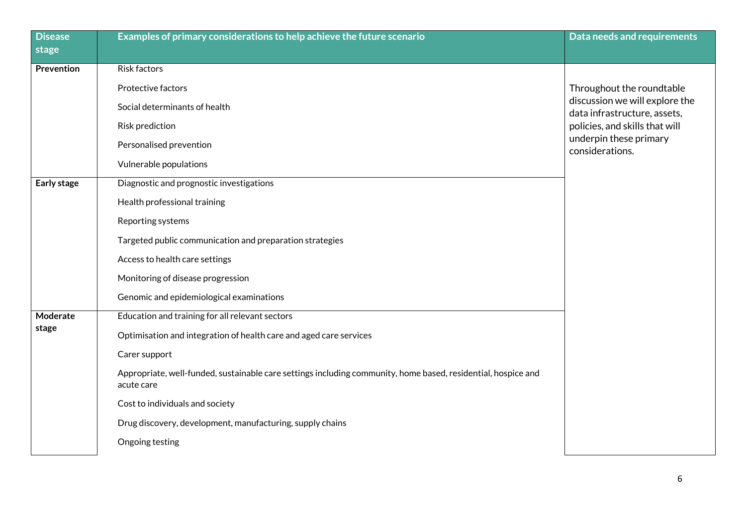| <b>Disease</b><br>stage | Examples of primary considerations to help achieve the future scenario                                                      | Data needs and requirements                                    |
|-------------------------|-----------------------------------------------------------------------------------------------------------------------------|----------------------------------------------------------------|
|                         |                                                                                                                             |                                                                |
| Prevention              | Risk factors                                                                                                                |                                                                |
|                         | Protective factors                                                                                                          | Throughout the roundtable                                      |
|                         | Social determinants of health                                                                                               | discussion we will explore the<br>data infrastructure, assets, |
|                         | <b>Risk prediction</b>                                                                                                      | policies, and skills that will                                 |
|                         | Personalised prevention                                                                                                     | underpin these primary<br>considerations.                      |
|                         | Vulnerable populations                                                                                                      |                                                                |
| Early stage             | Diagnostic and prognostic investigations                                                                                    |                                                                |
|                         | Health professional training                                                                                                |                                                                |
|                         | Reporting systems                                                                                                           |                                                                |
|                         | Targeted public communication and preparation strategies                                                                    |                                                                |
|                         | Access to health care settings                                                                                              |                                                                |
|                         | Monitoring of disease progression                                                                                           |                                                                |
|                         | Genomic and epidemiological examinations                                                                                    |                                                                |
| Moderate                | Education and training for all relevant sectors                                                                             |                                                                |
| stage                   | Optimisation and integration of health care and aged care services                                                          |                                                                |
|                         | Carer support                                                                                                               |                                                                |
|                         | Appropriate, well-funded, sustainable care settings including community, home based, residential, hospice and<br>acute care |                                                                |
|                         | Cost to individuals and society                                                                                             |                                                                |
|                         | Drug discovery, development, manufacturing, supply chains                                                                   |                                                                |
|                         | Ongoing testing                                                                                                             |                                                                |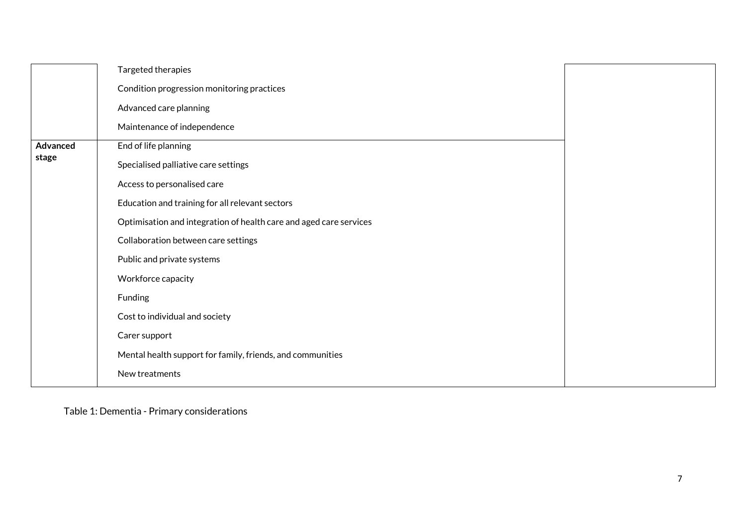|          | Targeted therapies                                                 |  |
|----------|--------------------------------------------------------------------|--|
|          | Condition progression monitoring practices                         |  |
|          | Advanced care planning                                             |  |
|          | Maintenance of independence                                        |  |
| Advanced | End of life planning                                               |  |
| stage    | Specialised palliative care settings                               |  |
|          | Access to personalised care                                        |  |
|          | Education and training for all relevant sectors                    |  |
|          | Optimisation and integration of health care and aged care services |  |
|          | Collaboration between care settings                                |  |
|          | Public and private systems                                         |  |
|          | Workforce capacity                                                 |  |
|          | Funding                                                            |  |
|          | Cost to individual and society                                     |  |
|          | Carer support                                                      |  |
|          | Mental health support for family, friends, and communities         |  |
|          | New treatments                                                     |  |

Table 1: Dementia - Primary considerations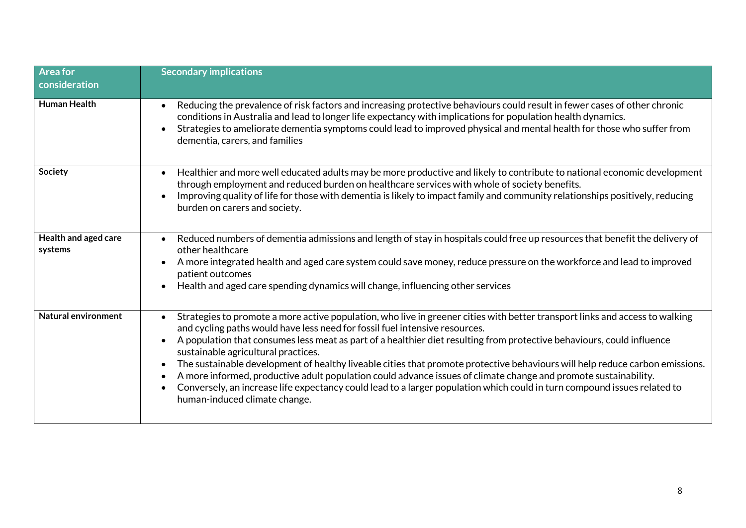| <b>Area for</b><br>consideration | <b>Secondary implications</b>                                                                                                                                                                                                                                                                                                                                                                                                                                                                                                                                                                                                                                                                                                                                                                                          |
|----------------------------------|------------------------------------------------------------------------------------------------------------------------------------------------------------------------------------------------------------------------------------------------------------------------------------------------------------------------------------------------------------------------------------------------------------------------------------------------------------------------------------------------------------------------------------------------------------------------------------------------------------------------------------------------------------------------------------------------------------------------------------------------------------------------------------------------------------------------|
| <b>Human Health</b>              | Reducing the prevalence of risk factors and increasing protective behaviours could result in fewer cases of other chronic<br>$\bullet$<br>conditions in Australia and lead to longer life expectancy with implications for population health dynamics.<br>Strategies to ameliorate dementia symptoms could lead to improved physical and mental health for those who suffer from<br>$\bullet$<br>dementia, carers, and families                                                                                                                                                                                                                                                                                                                                                                                        |
| Society                          | Healthier and more well educated adults may be more productive and likely to contribute to national economic development<br>$\bullet$<br>through employment and reduced burden on healthcare services with whole of society benefits.<br>Improving quality of life for those with dementia is likely to impact family and community relationships positively, reducing<br>burden on carers and society.                                                                                                                                                                                                                                                                                                                                                                                                                |
| Health and aged care<br>systems  | Reduced numbers of dementia admissions and length of stay in hospitals could free up resources that benefit the delivery of<br>$\bullet$<br>other healthcare<br>A more integrated health and aged care system could save money, reduce pressure on the workforce and lead to improved<br>patient outcomes<br>Health and aged care spending dynamics will change, influencing other services                                                                                                                                                                                                                                                                                                                                                                                                                            |
| <b>Natural environment</b>       | Strategies to promote a more active population, who live in greener cities with better transport links and access to walking<br>and cycling paths would have less need for fossil fuel intensive resources.<br>A population that consumes less meat as part of a healthier diet resulting from protective behaviours, could influence<br>$\bullet$<br>sustainable agricultural practices.<br>The sustainable development of healthy liveable cities that promote protective behaviours will help reduce carbon emissions.<br>$\bullet$<br>A more informed, productive adult population could advance issues of climate change and promote sustainability.<br>Conversely, an increase life expectancy could lead to a larger population which could in turn compound issues related to<br>human-induced climate change. |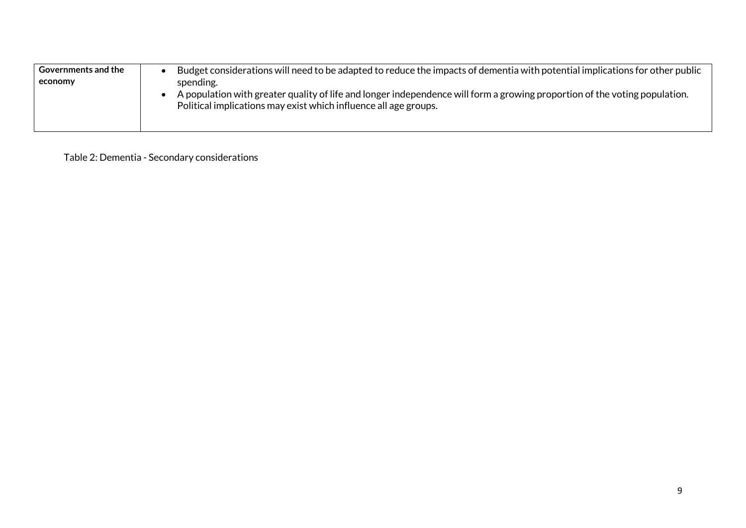| <b>Governments and the</b> | Budget considerations will need to be adapted to reduce the impacts of dementia with potential implications for other public                                                                   |
|----------------------------|------------------------------------------------------------------------------------------------------------------------------------------------------------------------------------------------|
| economy                    | spending.                                                                                                                                                                                      |
|                            | A population with greater quality of life and longer independence will form a growing proportion of the voting population.<br>Political implications may exist which influence all age groups. |

Table 2: Dementia - Secondary considerations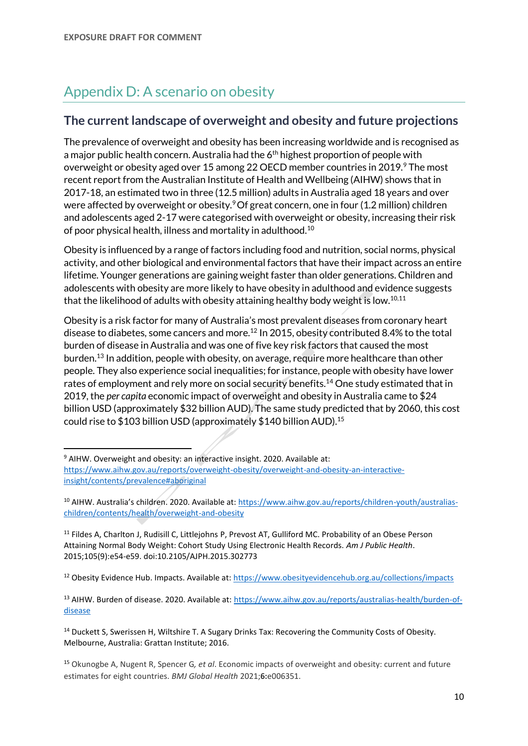# Appendix D: A scenario on obesity

### **The current landscape of overweight and obesity and future projections**

<span id="page-9-0"></span>The prevalence of overweight and obesity has been increasing worldwide and is recognised as a major public health concern. Australia had the  $6<sup>th</sup>$  highest proportion of people with overweight or obesity aged over 15 among 22 OECD member countries in 2019.<sup>9</sup> The most recent report from the Australian Institute of Health and Wellbeing (AIHW) shows that in 2017-18, an estimated two in three (12.5 million) adults in Australia aged 18 years and over were affected by overweight or obesit[y.](#page-9-0)<sup>9</sup> Of great concern, one in four (1.2 million) children and adolescents aged 2-17 were categorised with overweight or obesity, increasing their risk of poor physical health, illness and mortality in adulthood.<sup>10</sup>

<span id="page-9-1"></span>Obesity is influenced by a range of factors including food and nutrition, social norms, physical activity, and other biological and environmental factors that have their impact across an entire lifetime. Younger generations are gaining weight faster than older generations. Children and adolescents with obesity are more likely to have obesity in adulthood and evidence suggests that the likelihood of adults with obesity attaining healthy body weight is low.<sup>[10,1](#page-9-1)1</sup>

Obesity is a risk factor for many of Australia's most prevalent diseases from coronary heart disease to diabetes, some cancers and more.<sup>12</sup> In 2015, obesity contributed 8.4% to the total burden of disease in Australia and was one of five key risk factors that caused the most burden.<sup>13</sup> In addition, people with obesity, on average, require more healthcare than other people. They also experience social inequalities; for instance, people with obesity have lower rates of employment and rely more on social security benefits.<sup>14</sup> One study estimated that in 2019, the *per capita* economic impact of overweight and obesity in Australia came to \$24 billion USD (approximately \$32 billion AUD). The same study predicted that by 2060, this cost could rise to \$103 billion USD (approximately \$140 billion AUD).<sup>15</sup>

<sup>9</sup> AIHW. Overweight and obesity: an interactive insight. 2020. Available at: [https://www.aihw.gov.au/reports/overweight-obesity/overweight-and-obesity-an-interactive](https://www.aihw.gov.au/reports/overweight-obesity/overweight-and-obesity-an-interactive-insight/contents/prevalence#aboriginal)[insight/contents/prevalence#aboriginal](https://www.aihw.gov.au/reports/overweight-obesity/overweight-and-obesity-an-interactive-insight/contents/prevalence#aboriginal)

<sup>12</sup> Obesity Evidence Hub. Impacts. Available at:<https://www.obesityevidencehub.org.au/collections/impacts>

<sup>13</sup> AIHW. Burden of disease. 2020. Available at: [https://www.aihw.gov.au/reports/australias-health/burden-of](https://www.aihw.gov.au/reports/australias-health/burden-of-disease)[disease](https://www.aihw.gov.au/reports/australias-health/burden-of-disease)

<sup>14</sup> Duckett S, Swerissen H, Wiltshire T. A Sugary Drinks Tax: Recovering the Community Costs of Obesity. Melbourne, Australia: Grattan Institute; 2016.

<sup>10</sup> AIHW. Australia's children. 2020. Available at: [https://www.aihw.gov.au/reports/children-youth/australias](https://www.aihw.gov.au/reports/children-youth/australias-children/contents/health/overweight-and-obesity)[children/contents/health/overweight-and-obesity](https://www.aihw.gov.au/reports/children-youth/australias-children/contents/health/overweight-and-obesity)

<sup>&</sup>lt;sup>11</sup> Fildes A, Charlton J, Rudisill C, Littlejohns P, Prevost AT, Gulliford MC. Probability of an Obese Person Attaining Normal Body Weight: Cohort Study Using Electronic Health Records. *Am J Public Health*. 2015;105(9):e54-e59. doi:10.2105/AJPH.2015.302773

<sup>15</sup> Okunogbe A, Nugent R, Spencer G*, et al*. Economic impacts of overweight and obesity: current and future estimates for eight countries. *BMJ Global Health* 2021;**6:**e006351.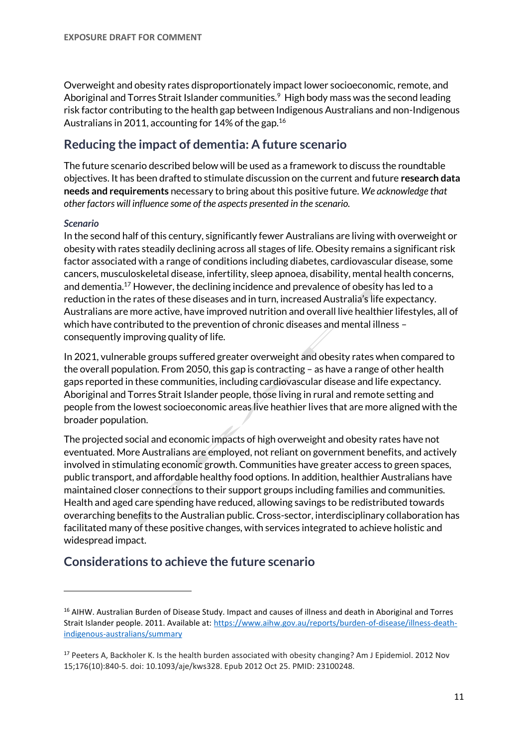Overweight and obesity rates disproportionately impact lower socioeconomic, remote, and Aboriginal and Torres Strait Islander communities.<sup>[9](#page-9-0)</sup> High body mass was the second leading risk factor contributing to the health gap between Indigenous Australians and non-Indigenous Australians in 2011, accounting for 14% of the gap.<sup>16</sup>

## **Reducing the impact of dementia: A future scenario**

The future scenario described below will be used as a framework to discuss the roundtable objectives. It has been drafted to stimulate discussion on the current and future **research data needs and requirements** necessary to bring about this positive future. *We acknowledge that other factors will influence some of the aspects presented in the scenario.*

#### *Scenario*

In the second half of this century, significantly fewer Australians are living with overweight or obesity with rates steadily declining across all stages of life. Obesity remains a significant risk factor associated with a range of conditions including diabetes, cardiovascular disease, some cancers, musculoskeletal disease, infertility, sleep apnoea, disability, mental health concerns, and dementia.<sup>17</sup> However, the declining incidence and prevalence of obesity has led to a reduction in the rates of these diseases and in turn, increased Australia's life expectancy. Australians are more active, have improved nutrition and overall live healthier lifestyles, all of which have contributed to the prevention of chronic diseases and mental illness – consequently improving quality of life.

In 2021, vulnerable groups suffered greater overweight and obesity rates when compared to the overall population. From 2050, this gap is contracting – as have a range of other health gaps reported in these communities, including cardiovascular disease and life expectancy. Aboriginal and Torres Strait Islander people, those living in rural and remote setting and people from the lowest socioeconomic areas live heathier lives that are more aligned with the broader population.

The projected social and economic impacts of high overweight and obesity rates have not eventuated. More Australians are employed, not reliant on government benefits, and actively involved in stimulating economic growth. Communities have greater access to green spaces, public transport, and affordable healthy food options. In addition, healthier Australians have maintained closer connections to their support groups including families and communities. Health and aged care spending have reduced, allowing savings to be redistributed towards overarching benefits to the Australian public. Cross-sector, interdisciplinary collaboration has facilitated many of these positive changes, with services integrated to achieve holistic and widespread impact.

### **Considerations to achieve the future scenario**

<sup>&</sup>lt;sup>16</sup> AIHW. Australian Burden of Disease Study. Impact and causes of illness and death in Aboriginal and Torres Strait Islander people. 2011. Available at: [https://www.aihw.gov.au/reports/burden-of-disease/illness-death](https://www.aihw.gov.au/reports/burden-of-disease/illness-death-indigenous-australians/summary)[indigenous-australians/summary](https://www.aihw.gov.au/reports/burden-of-disease/illness-death-indigenous-australians/summary)

<sup>&</sup>lt;sup>17</sup> Peeters A, Backholer K. Is the health burden associated with obesity changing? Am J Epidemiol. 2012 Nov 15;176(10):840-5. doi: 10.1093/aje/kws328. Epub 2012 Oct 25. PMID: 23100248.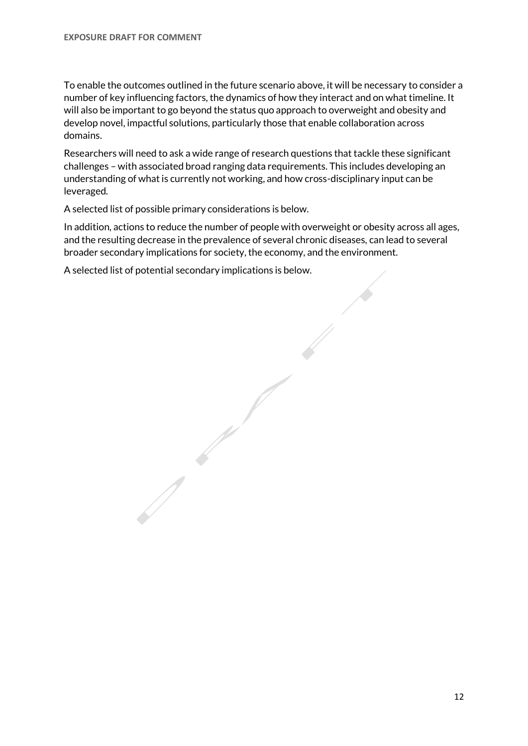To enable the outcomes outlined in the future scenario above, it will be necessary to consider a number of key influencing factors, the dynamics of how they interact and on what timeline. It will also be important to go beyond the status quo approach to overweight and obesity and develop novel, impactful solutions, particularly those that enable collaboration across domains.

Researchers will need to ask a wide range of research questions that tackle these significant challenges – with associated broad ranging data requirements. This includes developing an understanding of what is currently not working, and how cross-disciplinary input can be leveraged.

A selected list of possible primary considerations is below.

In addition, actions to reduce the number of people with overweight or obesity across all ages, and the resulting decrease in the prevalence of several chronic diseases, can lead to several broader secondary implications for society, the economy, and the environment.

A selected list of potential secondary implications is below.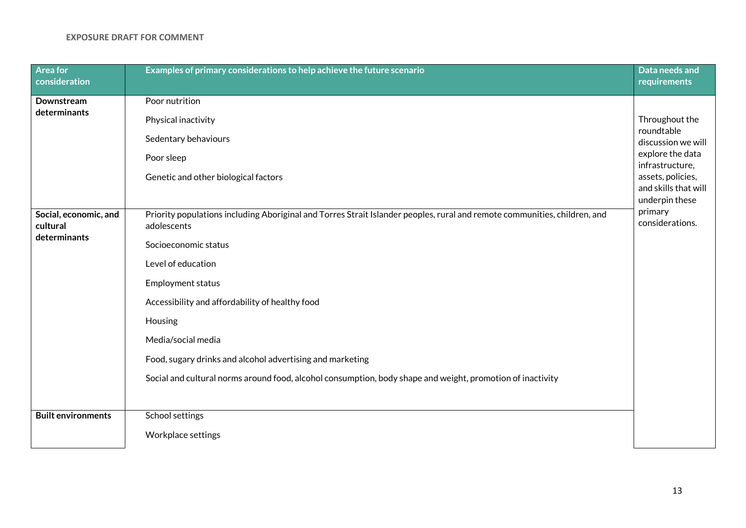| <b>Area for</b><br>consideration | Examples of primary considerations to help achieve the future scenario                                                    | Data needs and<br>requirements       |
|----------------------------------|---------------------------------------------------------------------------------------------------------------------------|--------------------------------------|
| Downstream                       | Poor nutrition                                                                                                            |                                      |
| determinants                     | Physical inactivity                                                                                                       | Throughout the                       |
|                                  | Sedentary behaviours                                                                                                      | roundtable<br>discussion we will     |
|                                  | Poor sleep                                                                                                                | explore the data                     |
|                                  | Genetic and other biological factors                                                                                      | infrastructure,<br>assets, policies, |
|                                  |                                                                                                                           | and skills that will                 |
| Social, economic, and            | Priority populations including Aboriginal and Torres Strait Islander peoples, rural and remote communities, children, and | underpin these<br>primary            |
| cultural                         | adolescents                                                                                                               | considerations.                      |
| determinants                     | Socioeconomic status                                                                                                      |                                      |
|                                  | Level of education                                                                                                        |                                      |
|                                  | <b>Employment status</b>                                                                                                  |                                      |
|                                  | Accessibility and affordability of healthy food                                                                           |                                      |
|                                  | Housing                                                                                                                   |                                      |
|                                  | Media/social media                                                                                                        |                                      |
|                                  | Food, sugary drinks and alcohol advertising and marketing                                                                 |                                      |
|                                  | Social and cultural norms around food, alcohol consumption, body shape and weight, promotion of inactivity                |                                      |
|                                  |                                                                                                                           |                                      |
| <b>Built environments</b>        | School settings                                                                                                           |                                      |
|                                  | Workplace settings                                                                                                        |                                      |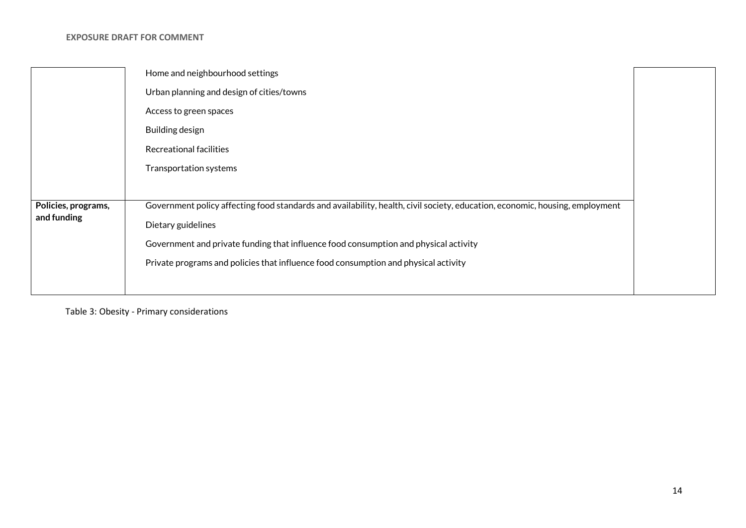|                                    | Home and neighbourhood settings                                                                                              |  |
|------------------------------------|------------------------------------------------------------------------------------------------------------------------------|--|
|                                    | Urban planning and design of cities/towns                                                                                    |  |
|                                    | Access to green spaces                                                                                                       |  |
|                                    | Building design                                                                                                              |  |
|                                    | Recreational facilities                                                                                                      |  |
|                                    | Transportation systems                                                                                                       |  |
|                                    |                                                                                                                              |  |
| Policies, programs,<br>and funding | Government policy affecting food standards and availability, health, civil society, education, economic, housing, employment |  |
|                                    | Dietary guidelines                                                                                                           |  |
|                                    | Government and private funding that influence food consumption and physical activity                                         |  |
|                                    | Private programs and policies that influence food consumption and physical activity                                          |  |
|                                    |                                                                                                                              |  |

Table 3: Obesity - Primary considerations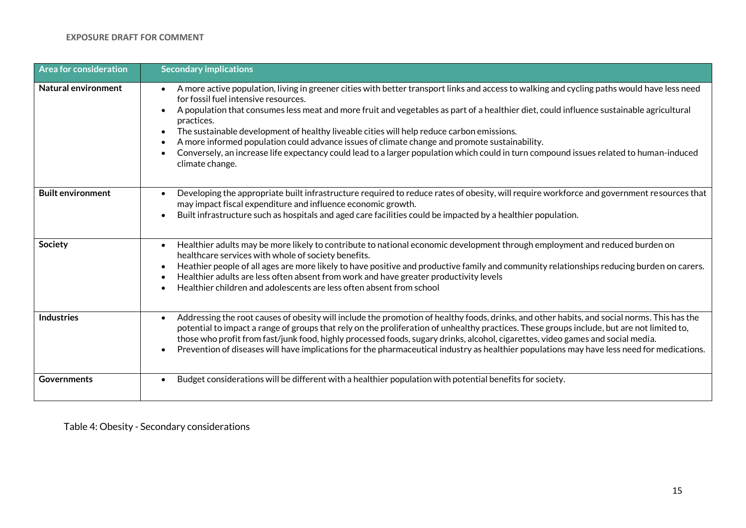| <b>Area for consideration</b> | <b>Secondary implications</b>                                                                                                                                                                                                                                                                                                                                                                                                                                                                                                                                                                                                                                                                                                                   |
|-------------------------------|-------------------------------------------------------------------------------------------------------------------------------------------------------------------------------------------------------------------------------------------------------------------------------------------------------------------------------------------------------------------------------------------------------------------------------------------------------------------------------------------------------------------------------------------------------------------------------------------------------------------------------------------------------------------------------------------------------------------------------------------------|
| Natural environment           | A more active population, living in greener cities with better transport links and access to walking and cycling paths would have less need<br>$\bullet$<br>for fossil fuel intensive resources.<br>A population that consumes less meat and more fruit and vegetables as part of a healthier diet, could influence sustainable agricultural<br>$\bullet$<br>practices.<br>The sustainable development of healthy liveable cities will help reduce carbon emissions.<br>A more informed population could advance issues of climate change and promote sustainability.<br>$\bullet$<br>Conversely, an increase life expectancy could lead to a larger population which could in turn compound issues related to human-induced<br>climate change. |
| <b>Built environment</b>      | Developing the appropriate built infrastructure required to reduce rates of obesity, will require workforce and government resources that<br>$\bullet$<br>may impact fiscal expenditure and influence economic growth.<br>Built infrastructure such as hospitals and aged care facilities could be impacted by a healthier population.<br>$\bullet$                                                                                                                                                                                                                                                                                                                                                                                             |
| Society                       | Healthier adults may be more likely to contribute to national economic development through employment and reduced burden on<br>$\bullet$<br>healthcare services with whole of society benefits.<br>Heathier people of all ages are more likely to have positive and productive family and community relationships reducing burden on carers.<br>$\bullet$<br>Healthier adults are less often absent from work and have greater productivity levels<br>$\bullet$<br>Healthier children and adolescents are less often absent from school                                                                                                                                                                                                         |
| <b>Industries</b>             | Addressing the root causes of obesity will include the promotion of healthy foods, drinks, and other habits, and social norms. This has the<br>$\bullet$<br>potential to impact a range of groups that rely on the proliferation of unhealthy practices. These groups include, but are not limited to,<br>those who profit from fast/junk food, highly processed foods, sugary drinks, alcohol, cigarettes, video games and social media.<br>Prevention of diseases will have implications for the pharmaceutical industry as healthier populations may have less need for medications.<br>$\bullet$                                                                                                                                            |
| <b>Governments</b>            | Budget considerations will be different with a healthier population with potential benefits for society.<br>$\bullet$                                                                                                                                                                                                                                                                                                                                                                                                                                                                                                                                                                                                                           |

Table 4: Obesity - Secondary considerations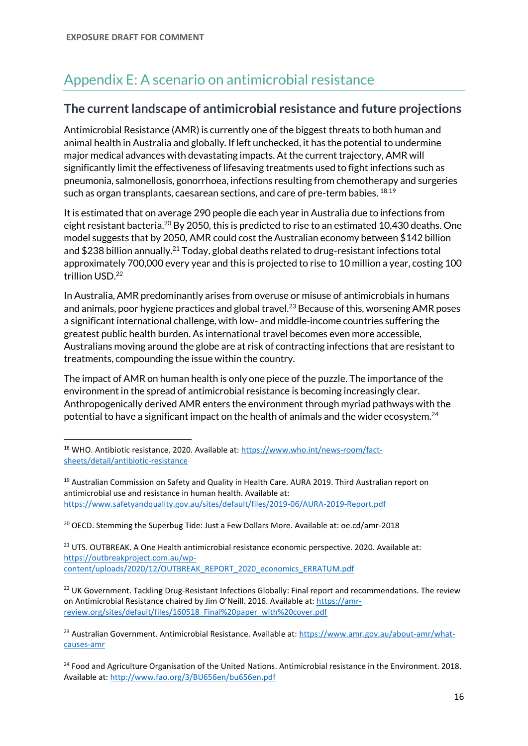# Appendix E: A scenario on antimicrobial resistance

# **The current landscape of antimicrobial resistance and future projections**

Antimicrobial Resistance (AMR) is currently one of the biggest threats to both human and animal health in Australia and globally. If left unchecked, it has the potential to undermine major medical advances with devastating impacts. At the current trajectory, AMR will significantly limit the effectiveness of lifesaving treatments used to fight infections such as pneumonia, salmonellosis, gonorrhoea, infections resulting from chemotherapy and surgeries such as organ transplants, caesarean sections, and care of pre-term babies. <sup>18,19</sup>

It is estimated that on average 290 people die each year in Australia due to infections from eight resistant bacteria.<sup>20</sup> By 2050, this is predicted to rise to an estimated 10,430 deaths. One model suggests that by 2050, AMR could cost the Australian economy between \$142 billion and \$238 billion annually.<sup>21</sup> Today, global deaths related to drug-resistant infections total approximately 700,000 every year and this is projected to rise to 10 million a year, costing 100 trillion USD.<sup>22</sup>

In Australia, AMR predominantly arises from overuse or misuse of antimicrobials in humans and animals, poor hygiene practices and global travel.<sup>23</sup> Because of this, worsening AMR poses a significant international challenge, with low- and middle-income countries suffering the greatest public health burden. As international travel becomes even more accessible, Australians moving around the globe are at risk of contracting infections that are resistant to treatments, compounding the issue within the country.

The impact of AMR on human health is only one piece of the puzzle. The importance of the environment in the spread of antimicrobial resistance is becoming increasingly clear. Anthropogenically derived AMR enters the environment through myriad pathways with the potential to have a significant impact on the health of animals and the wider ecosystem.<sup>24</sup>

<sup>20</sup> OECD. Stemming the Superbug Tide: Just a Few Dollars More. Available at: oe.cd/amr-2018

<sup>21</sup> UTS. OUTBREAK. A One Health antimicrobial resistance economic perspective. 2020. Available at: [https://outbreakproject.com.au/wp](https://outbreakproject.com.au/wp-content/uploads/2020/12/OUTBREAK_REPORT_2020_economics_ERRATUM.pdf)[content/uploads/2020/12/OUTBREAK\\_REPORT\\_2020\\_economics\\_ERRATUM.pdf](https://outbreakproject.com.au/wp-content/uploads/2020/12/OUTBREAK_REPORT_2020_economics_ERRATUM.pdf)

<span id="page-15-0"></span><sup>&</sup>lt;sup>18</sup> WHO. Antibiotic resistance. 2020. Available at: [https://www.who.int/news-room/fact](https://www.who.int/news-room/fact-sheets/detail/antibiotic-resistance)[sheets/detail/antibiotic-resistance](https://www.who.int/news-room/fact-sheets/detail/antibiotic-resistance)

<sup>&</sup>lt;sup>19</sup> Australian Commission on Safety and Quality in Health Care. AURA 2019. Third Australian report on antimicrobial use and resistance in human health. Available at: <https://www.safetyandquality.gov.au/sites/default/files/2019-06/AURA-2019-Report.pdf>

<sup>&</sup>lt;sup>22</sup> UK Government. Tackling Drug-Resistant Infections Globally: Final report and recommendations. The review on Antimicrobial Resistance chaired by Jim O'Neill. 2016. Available at: [https://amr](https://amr-review.org/sites/default/files/160518_Final%20paper_with%20cover.pdf)[review.org/sites/default/files/160518\\_Final%20paper\\_with%20cover.pdf](https://amr-review.org/sites/default/files/160518_Final%20paper_with%20cover.pdf)

<sup>&</sup>lt;sup>23</sup> Australian Government. Antimicrobial Resistance. Available at: [https://www.amr.gov.au/about-amr/what](https://www.amr.gov.au/about-amr/what-causes-amr)[causes-amr](https://www.amr.gov.au/about-amr/what-causes-amr)

<sup>&</sup>lt;sup>24</sup> Food and Agriculture Organisation of the United Nations. Antimicrobial resistance in the Environment. 2018. Available at[: http://www.fao.org/3/BU656en/bu656en.pdf](http://www.fao.org/3/BU656en/bu656en.pdf)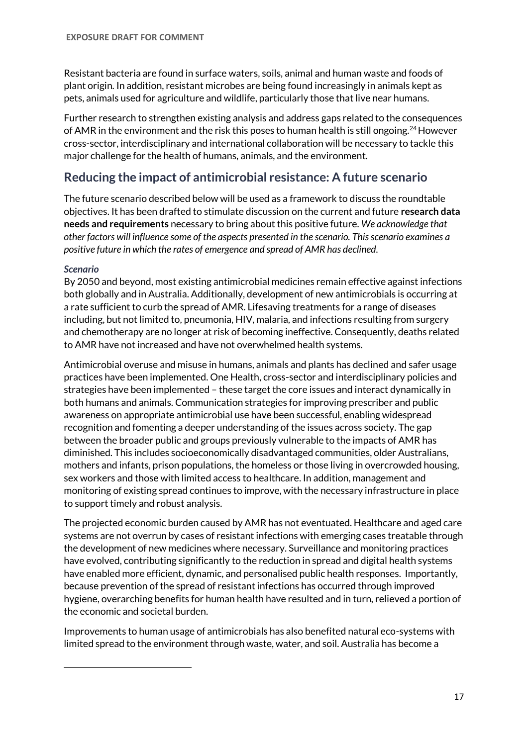Resistant bacteria are found in surface waters, soils, animal and human waste and foods of plant origin. In addition, resistant microbes are being found increasingly in animals kept as pets, animals used for agriculture and wildlife, particularly those that live near humans.

Further research to strengthen existing analysis and address gaps related to the consequences of AMR in the environment and the risk this poses to human health is still ongoing.<sup>[24](#page-15-0)</sup> However cross-sector, interdisciplinary and international collaboration will be necessary to tackle this major challenge for the health of humans, animals, and the environment.

# **Reducing the impact of antimicrobial resistance: A future scenario**

The future scenario described below will be used as a framework to discuss the roundtable objectives. It has been drafted to stimulate discussion on the current and future **research data needs and requirements** necessary to bring about this positive future. *We acknowledge that other factors will influence some of the aspects presented in the scenario. This scenario examines a positive future in which the rates of emergence and spread of AMR has declined.* 

#### *Scenario*

By 2050 and beyond, most existing antimicrobial medicines remain effective against infections both globally and in Australia. Additionally, development of new antimicrobials is occurring at a rate sufficient to curb the spread of AMR. Lifesaving treatments for a range of diseases including, but not limited to, pneumonia, HIV, malaria, and infections resulting from surgery and chemotherapy are no longer at risk of becoming ineffective. Consequently, deaths related to AMR have not increased and have not overwhelmed health systems.

Antimicrobial overuse and misuse in humans, animals and plants has declined and safer usage practices have been implemented. One Health, cross-sector and interdisciplinary policies and strategies have been implemented – these target the core issues and interact dynamically in both humans and animals. Communication strategies for improving prescriber and public awareness on appropriate antimicrobial use have been successful, enabling widespread recognition and fomenting a deeper understanding of the issues across society. The gap between the broader public and groups previously vulnerable to the impacts of AMR has diminished. This includes socioeconomically disadvantaged communities, older Australians, mothers and infants, prison populations, the homeless or those living in overcrowded housing, sex workers and those with limited access to healthcare. In addition, management and monitoring of existing spread continues to improve, with the necessary infrastructure in place to support timely and robust analysis.

The projected economic burden caused by AMR has not eventuated. Healthcare and aged care systems are not overrun by cases of resistant infections with emerging cases treatable through the development of new medicines where necessary. Surveillance and monitoring practices have evolved, contributing significantly to the reduction in spread and digital health systems have enabled more efficient, dynamic, and personalised public health responses. Importantly, because prevention of the spread of resistant infections has occurred through improved hygiene, overarching benefits for human health have resulted and in turn, relieved a portion of the economic and societal burden.

Improvements to human usage of antimicrobials has also benefited natural eco-systems with limited spread to the environment through waste, water, and soil. Australia has become a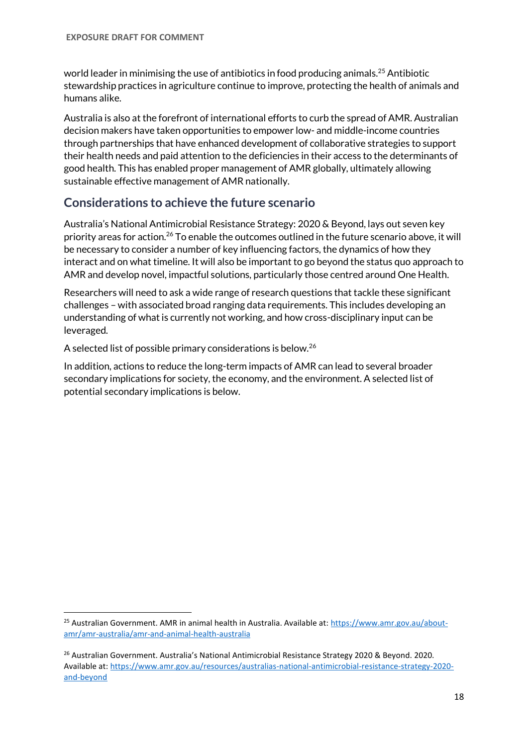world leader in minimising the use of antibiotics in food producing animals.<sup>25</sup> Antibiotic stewardship practices in agriculture continue to improve, protecting the health of animals and humans alike.

Australia is also at the forefront of international efforts to curb the spread of AMR. Australian decision makers have taken opportunities to empower low- and middle-income countries through partnerships that have enhanced development of collaborative strategies to support their health needs and paid attention to the deficiencies in their access to the determinants of good health. This has enabled proper management of AMR globally, ultimately allowing sustainable effective management of AMR nationally.

# **Considerations to achieve the future scenario**

<span id="page-17-0"></span>Australia's National Antimicrobial Resistance Strategy: 2020 & Beyond, lays out seven key priority areas for action.<sup>26</sup> To enable the outcomes outlined in the future scenario above, it will be necessary to consider a number of key influencing factors, the dynamics of how they interact and on what timeline. It will also be important to go beyond the status quo approach to AMR and develop novel, impactful solutions, particularly those centred around One Health.

Researchers will need to ask a wide range of research questions that tackle these significant challenges – with associated broad ranging data requirements. This includes developing an understanding of what is currently not working, and how cross-disciplinary input can be leveraged.

A selected list of possible primary considerations is below.[26](#page-17-0)

In addition, actions to reduce the long-term impacts of AMR can lead to several broader secondary implications for society, the economy, and the environment. A selected list of potential secondary implications is below.

<sup>&</sup>lt;sup>25</sup> Australian Government. AMR in animal health in Australia. Available at: [https://www.amr.gov.au/about](https://www.amr.gov.au/about-amr/amr-australia/amr-and-animal-health-australia)[amr/amr-australia/amr-and-animal-health-australia](https://www.amr.gov.au/about-amr/amr-australia/amr-and-animal-health-australia)

<sup>&</sup>lt;sup>26</sup> Australian Government. Australia's National Antimicrobial Resistance Strategy 2020 & Beyond. 2020. Available at[: https://www.amr.gov.au/resources/australias-national-antimicrobial-resistance-strategy-2020](https://www.amr.gov.au/resources/australias-national-antimicrobial-resistance-strategy-2020-and-beyond) [and-beyond](https://www.amr.gov.au/resources/australias-national-antimicrobial-resistance-strategy-2020-and-beyond)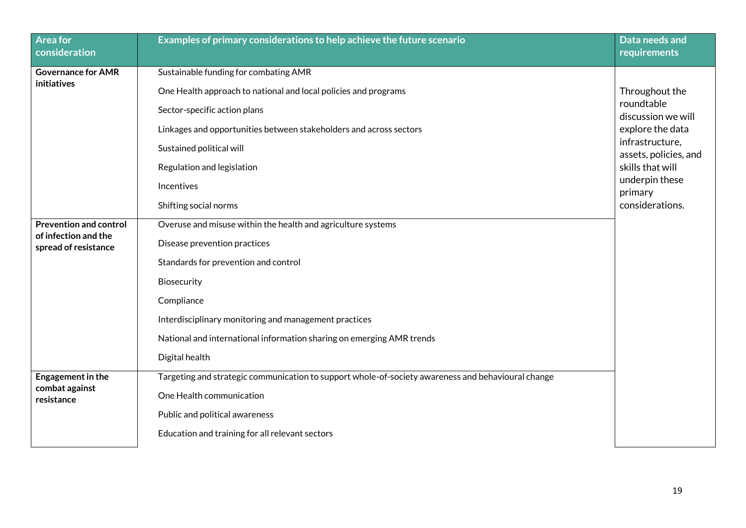| <b>Area for</b><br>consideration             | Examples of primary considerations to help achieve the future scenario                             | Data needs and<br>requirements           |
|----------------------------------------------|----------------------------------------------------------------------------------------------------|------------------------------------------|
| <b>Governance for AMR</b>                    | Sustainable funding for combating AMR                                                              |                                          |
| <b>initiatives</b>                           | One Health approach to national and local policies and programs                                    | Throughout the                           |
|                                              | Sector-specific action plans                                                                       | roundtable<br>discussion we will         |
|                                              | Linkages and opportunities between stakeholders and across sectors                                 | explore the data                         |
|                                              | Sustained political will                                                                           | infrastructure,<br>assets, policies, and |
|                                              | Regulation and legislation                                                                         | skills that will                         |
|                                              | Incentives                                                                                         | underpin these<br>primary                |
|                                              | Shifting social norms                                                                              | considerations.                          |
| <b>Prevention and control</b>                | Overuse and misuse within the health and agriculture systems                                       |                                          |
| of infection and the<br>spread of resistance | Disease prevention practices                                                                       |                                          |
|                                              | Standards for prevention and control                                                               |                                          |
|                                              | Biosecurity                                                                                        |                                          |
|                                              | Compliance                                                                                         |                                          |
|                                              | Interdisciplinary monitoring and management practices                                              |                                          |
|                                              | National and international information sharing on emerging AMR trends                              |                                          |
|                                              | Digital health                                                                                     |                                          |
| Engagement in the                            | Targeting and strategic communication to support whole-of-society awareness and behavioural change |                                          |
| combat against<br>resistance                 | One Health communication                                                                           |                                          |
|                                              | Public and political awareness                                                                     |                                          |
|                                              | Education and training for all relevant sectors                                                    |                                          |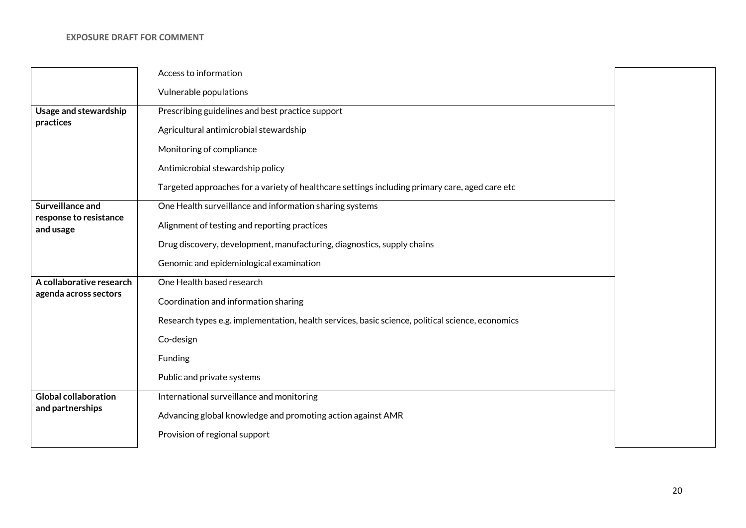|                                     | Access to information                                                                            |  |
|-------------------------------------|--------------------------------------------------------------------------------------------------|--|
|                                     | Vulnerable populations                                                                           |  |
| Usage and stewardship               | Prescribing guidelines and best practice support                                                 |  |
| practices                           | Agricultural antimicrobial stewardship                                                           |  |
|                                     | Monitoring of compliance                                                                         |  |
|                                     | Antimicrobial stewardship policy                                                                 |  |
|                                     | Targeted approaches for a variety of healthcare settings including primary care, aged care etc   |  |
| Surveillance and                    | One Health surveillance and information sharing systems                                          |  |
| response to resistance<br>and usage | Alignment of testing and reporting practices                                                     |  |
|                                     | Drug discovery, development, manufacturing, diagnostics, supply chains                           |  |
|                                     | Genomic and epidemiological examination                                                          |  |
| A collaborative research            | One Health based research                                                                        |  |
| agenda across sectors               | Coordination and information sharing                                                             |  |
|                                     | Research types e.g. implementation, health services, basic science, political science, economics |  |
|                                     | Co-design                                                                                        |  |
|                                     | Funding                                                                                          |  |
|                                     | Public and private systems                                                                       |  |
| <b>Global collaboration</b>         | International surveillance and monitoring                                                        |  |
| and partnerships                    | Advancing global knowledge and promoting action against AMR                                      |  |
|                                     | Provision of regional support                                                                    |  |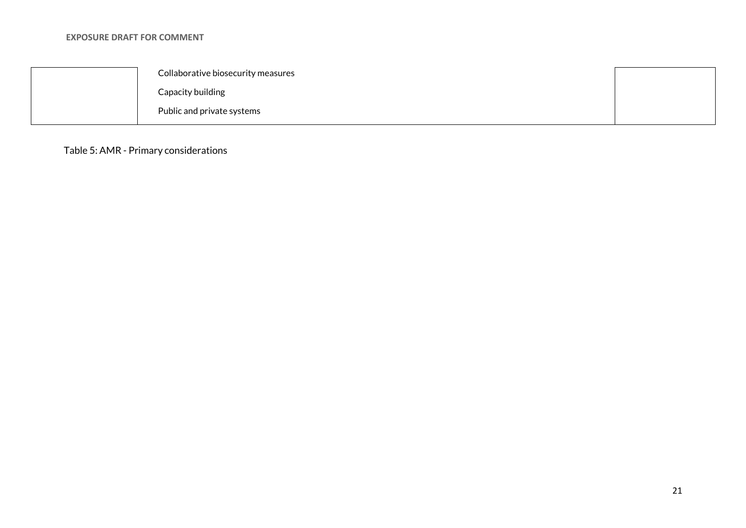| Collaborative biosecurity measures |  |
|------------------------------------|--|
| Capacity building                  |  |
| Public and private systems         |  |

Table 5: AMR - Primary considerations